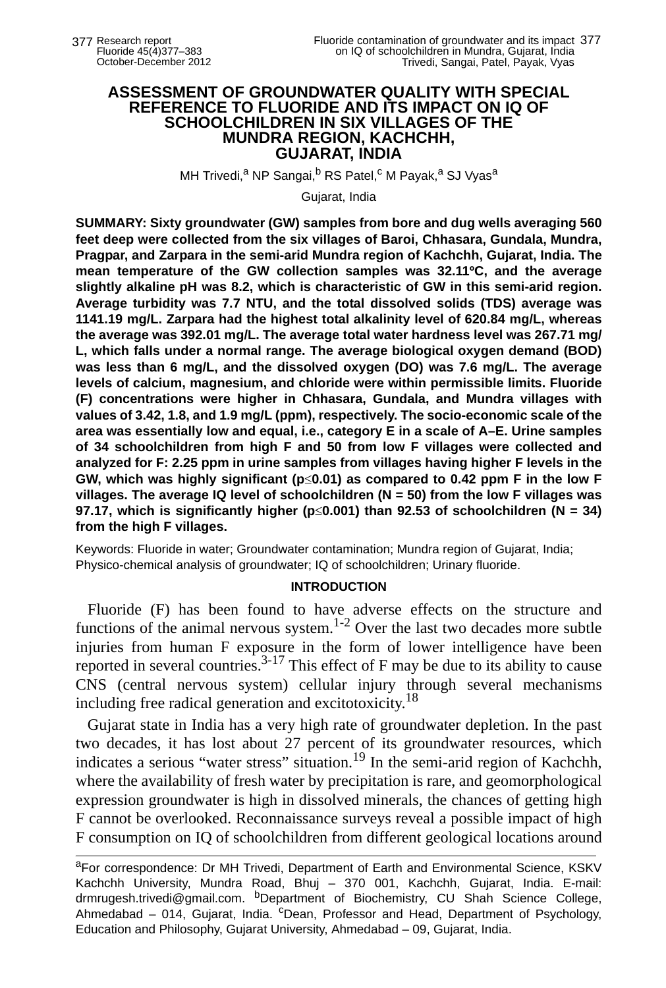## **ASSESSMENT OF GROUNDWATER QUALITY WITH SPECIAL REFERENCE TO FLUORIDE AND ITS IMPACT ON IQ OF SCHOOLCHILDREN IN SIX VILLAGES OF THE MUNDRA REGION, KACHCHH, GUJARAT, INDIA**

MH Trivedi,<sup>a</sup> NP Sangai,<sup>b</sup> RS Patel,<sup>c</sup> M Payak,<sup>a</sup> SJ Vyas<sup>a</sup>

Gujarat, India

**SUMMARY: Sixty groundwater (GW) samples from bore and dug wells averaging 560 feet deep were collected from the six villages of Baroi, Chhasara, Gundala, Mundra, Pragpar, and Zarpara in the semi-arid Mundra region of Kachchh, Gujarat, India. The mean temperature of the GW collection samples was 32.11ºC, and the average slightly alkaline pH was 8.2, which is characteristic of GW in this semi-arid region. Average turbidity was 7.7 NTU, and the total dissolved solids (TDS) average was 1141.19 mg/L. Zarpara had the highest total alkalinity level of 620.84 mg/L, whereas the average was 392.01 mg/L. The average total water hardness level was 267.71 mg/ L, which falls under a normal range. The average biological oxygen demand (BOD) was less than 6 mg/L, and the dissolved oxygen (DO) was 7.6 mg/L. The average levels of calcium, magnesium, and chloride were within permissible limits. Fluoride (F) concentrations were higher in Chhasara, Gundala, and Mundra villages with values of 3.42, 1.8, and 1.9 mg/L (ppm), respectively. The socio-economic scale of the area was essentially low and equal, i.e., category E in a scale of A–E. Urine samples of 34 schoolchildren from high F and 50 from low F villages were collected and analyzed for F: 2.25 ppm in urine samples from villages having higher F levels in the GW, which was highly significant (p**≤**0.01) as compared to 0.42 ppm F in the low F villages. The average IQ level of schoolchildren (N = 50) from the low F villages was 97.17, which is significantly higher (p**≤**0.001) than 92.53 of schoolchildren (N = 34) from the high F villages.** 

Keywords: Fluoride in water; Groundwater contamination; Mundra region of Gujarat, India; Physico-chemical analysis of groundwater; IQ of schoolchildren; Urinary fluoride.

## **INTRODUCTION**

Fluoride (F) has been found to have adverse effects on the structure and functions of the animal nervous system.<sup>1-2</sup> Over the last two decades more subtle injuries from human F exposure in the form of lower intelligence have been reported in several countries.<sup>3-17</sup> This effect of F may be due to its ability to cause CNS (central nervous system) cellular injury through several mechanisms including free radical generation and excitotoxicity.<sup>18</sup>

Gujarat state in India has a very high rate of groundwater depletion. In the past two decades, it has lost about 27 percent of its groundwater resources, which indicates a serious "water stress" situation.19 In the semi-arid region of Kachchh, where the availability of fresh water by precipitation is rare, and geomorphological expression groundwater is high in dissolved minerals, the chances of getting high F cannot be overlooked. Reconnaissance surveys reveal a possible impact of high F consumption on IQ of schoolchildren from different geological locations around

aFor correspondence: Dr MH Trivedi, Department of Earth and Environmental Science, KSKV Kachchh University, Mundra Road, Bhuj – 370 001, Kachchh, Gujarat, India. E-mail: drmrugesh.trivedi@gmail.com. bDepartment of Biochemistry, CU Shah Science College, Ahmedabad - 014, Gujarat, India. <sup>c</sup>Dean, Professor and Head, Department of Psychology, Education and Philosophy, Gujarat University, Ahmedabad – 09, Gujarat, India.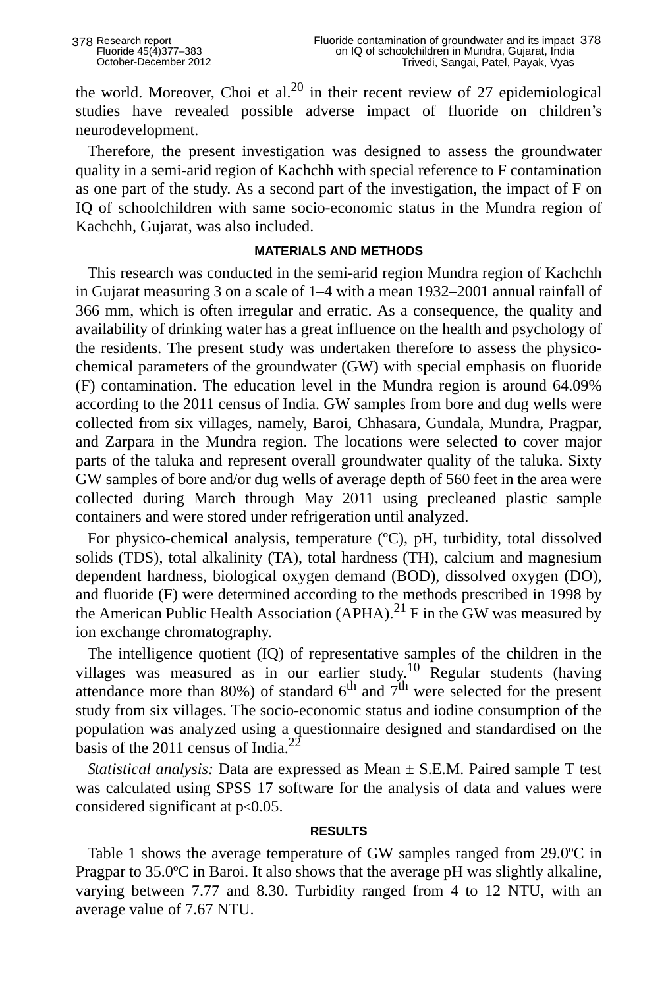the world. Moreover, Choi et al.<sup>20</sup> in their recent review of 27 epidemiological studies have revealed possible adverse impact of fluoride on children's neurodevelopment.

Therefore, the present investigation was designed to assess the groundwater quality in a semi-arid region of Kachchh with special reference to F contamination as one part of the study. As a second part of the investigation, the impact of F on IQ of schoolchildren with same socio-economic status in the Mundra region of Kachchh, Gujarat, was also included.

### **MATERIALS AND METHODS**

This research was conducted in the semi-arid region Mundra region of Kachchh in Gujarat measuring 3 on a scale of 1–4 with a mean 1932–2001 annual rainfall of 366 mm, which is often irregular and erratic. As a consequence, the quality and availability of drinking water has a great influence on the health and psychology of the residents. The present study was undertaken therefore to assess the physicochemical parameters of the groundwater (GW) with special emphasis on fluoride (F) contamination. The education level in the Mundra region is around 64.09% according to the 2011 census of India. GW samples from bore and dug wells were collected from six villages, namely, Baroi, Chhasara, Gundala, Mundra, Pragpar, and Zarpara in the Mundra region. The locations were selected to cover major parts of the taluka and represent overall groundwater quality of the taluka. Sixty GW samples of bore and/or dug wells of average depth of 560 feet in the area were collected during March through May 2011 using precleaned plastic sample containers and were stored under refrigeration until analyzed.

For physico-chemical analysis, temperature (ºC), pH, turbidity, total dissolved solids (TDS), total alkalinity (TA), total hardness (TH), calcium and magnesium dependent hardness, biological oxygen demand (BOD), dissolved oxygen (DO), and fluoride (F) were determined according to the methods prescribed in 1998 by the American Public Health Association (APHA).<sup>21</sup> F in the GW was measured by ion exchange chromatography.

The intelligence quotient (IQ) of representative samples of the children in the villages was measured as in our earlier study.10 Regular students (having attendance more than  $80\%$ ) of standard  $6<sup>th</sup>$  and  $7<sup>th</sup>$  were selected for the present study from six villages. The socio-economic status and iodine consumption of the population was analyzed using a questionnaire designed and standardised on the basis of the 2011 census of India. $^{22}$ 

*Statistical analysis:* Data are expressed as Mean ± S.E.M. Paired sample T test was calculated using SPSS 17 software for the analysis of data and values were considered significant at p≤0.05.

### **RESULTS**

Table 1 shows the average temperature of GW samples ranged from 29.0ºC in Pragpar to 35.0ºC in Baroi. It also shows that the average pH was slightly alkaline, varying between 7.77 and 8.30. Turbidity ranged from 4 to 12 NTU, with an average value of 7.67 NTU.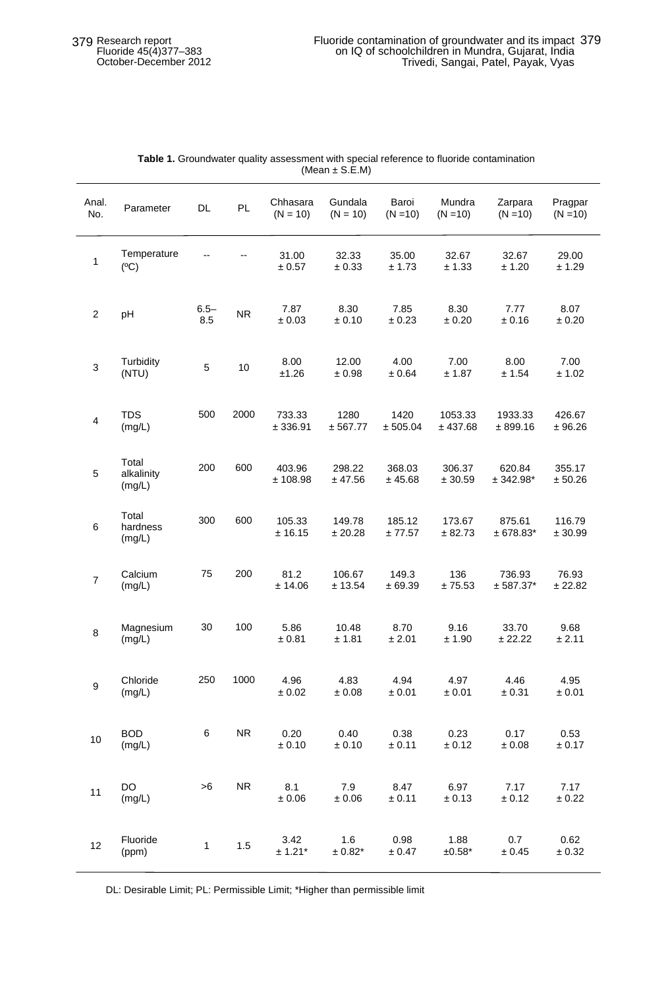| Anal.<br>No.   | Parameter                     | DL             | PL             | Chhasara<br>$(N = 10)$ | Gundala<br>$(N = 10)$ | Baroi<br>$(N = 10)$ | Mundra<br>$(N = 10)$ | Zarpara<br>$(N = 10)$ | Pragpar<br>$(N = 10)$ |
|----------------|-------------------------------|----------------|----------------|------------------------|-----------------------|---------------------|----------------------|-----------------------|-----------------------|
| $\mathbf{1}$   | Temperature<br>(C)            |                | $\overline{a}$ | 31.00<br>± 0.57        | 32.33<br>$\pm 0.33$   | 35.00<br>± 1.73     | 32.67<br>± 1.33      | 32.67<br>± 1.20       | 29.00<br>± 1.29       |
| $\overline{2}$ | pH                            | $6.5 -$<br>8.5 | <b>NR</b>      | 7.87<br>± 0.03         | 8.30<br>± 0.10        | 7.85<br>± 0.23      | 8.30<br>± 0.20       | 7.77<br>± 0.16        | 8.07<br>± 0.20        |
| 3              | Turbidity<br>(NTU)            | 5              | 10             | 8.00<br>±1.26          | 12.00<br>±0.98        | 4.00<br>± 0.64      | 7.00<br>± 1.87       | 8.00<br>± 1.54        | 7.00<br>± 1.02        |
| 4              | <b>TDS</b><br>(mg/L)          | 500            | 2000           | 733.33<br>± 336.91     | 1280<br>± 567.77      | 1420<br>± 505.04    | 1053.33<br>± 437.68  | 1933.33<br>± 899.16   | 426.67<br>± 96.26     |
| 5              | Total<br>alkalinity<br>(mg/L) | 200            | 600            | 403.96<br>± 108.98     | 298.22<br>± 47.56     | 368.03<br>± 45.68   | 306.37<br>± 30.59    | 620.84<br>$± 342.98*$ | 355.17<br>± 50.26     |
| 6              | Total<br>hardness<br>(mg/L)   | 300            | 600            | 105.33<br>± 16.15      | 149.78<br>± 20.28     | 185.12<br>± 77.57   | 173.67<br>± 82.73    | 875.61<br>$± 678.83*$ | 116.79<br>± 30.99     |
| 7              | Calcium<br>(mg/L)             | 75             | 200            | 81.2<br>± 14.06        | 106.67<br>± 13.54     | 149.3<br>± 69.39    | 136<br>±75.53        | 736.93<br>$± 587.37*$ | 76.93<br>± 22.82      |
| 8              | Magnesium<br>(mg/L)           | 30             | 100            | 5.86<br>± 0.81         | 10.48<br>± 1.81       | 8.70<br>± 2.01      | 9.16<br>± 1.90       | 33.70<br>± 22.22      | 9.68<br>± 2.11        |
| 9              | Chloride<br>(mg/L)            | 250            | 1000           | 4.96<br>± 0.02         | 4.83<br>± 0.08        | 4.94<br>± 0.01      | 4.97<br>± 0.01       | 4.46<br>± 0.31        | 4.95<br>± 0.01        |
| 10             | <b>BOD</b><br>(mg/L)          | 6              | <b>NR</b>      | 0.20<br>± 0.10         | 0.40<br>± 0.10        | 0.38<br>± 0.11      | 0.23<br>± 0.12       | 0.17<br>±0.08         | 0.53<br>± 0.17        |
| 11             | DO<br>(mg/L)                  | >6             | <b>NR</b>      | 8.1<br>± 0.06          | 7.9<br>± 0.06         | 8.47<br>± 0.11      | 6.97<br>± 0.13       | 7.17<br>± 0.12        | 7.17<br>± 0.22        |
| 12             | Fluoride<br>(ppm)             | $\mathbf{1}$   | 1.5            | 3.42<br>$± 1.21*$      | 1.6<br>$± 0.82*$      | 0.98<br>± 0.47      | 1.88<br>$±0.58*$     | 0.7<br>± 0.45         | 0.62<br>± 0.32        |

#### **Table 1.** Groundwater quality assessment with special reference to fluoride contamination (Mean ± S.E.M)

DL: Desirable Limit; PL: Permissible Limit; \*Higher than permissible limit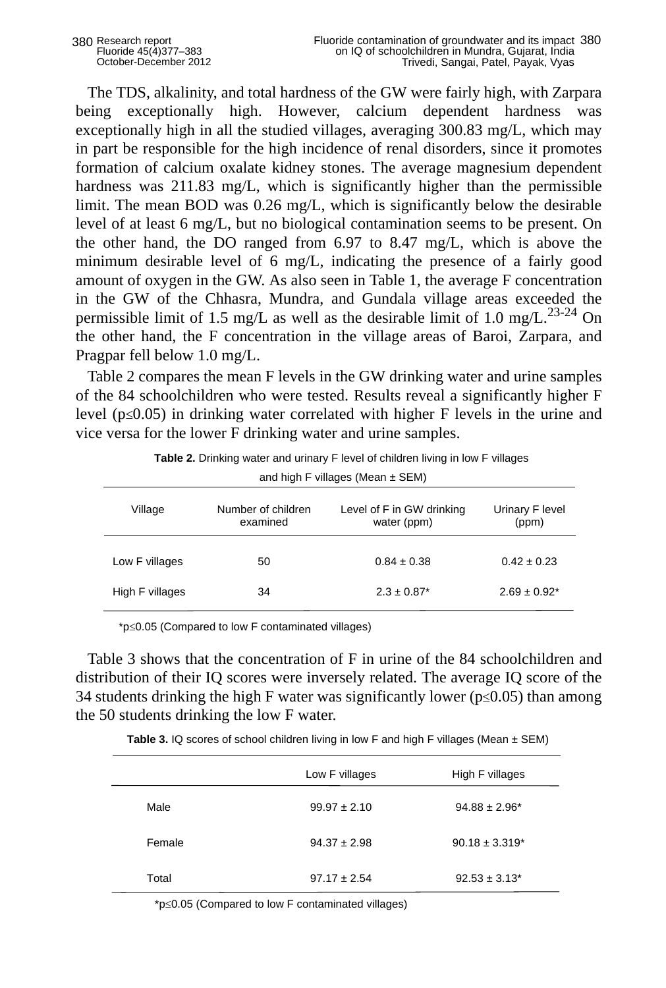The TDS, alkalinity, and total hardness of the GW were fairly high, with Zarpara being exceptionally high. However, calcium dependent hardness was exceptionally high in all the studied villages, averaging 300.83 mg/L, which may in part be responsible for the high incidence of renal disorders, since it promotes formation of calcium oxalate kidney stones. The average magnesium dependent hardness was 211.83 mg/L, which is significantly higher than the permissible limit. The mean BOD was 0.26 mg/L, which is significantly below the desirable level of at least 6 mg/L, but no biological contamination seems to be present. On the other hand, the DO ranged from 6.97 to 8.47 mg/L, which is above the minimum desirable level of 6 mg/L, indicating the presence of a fairly good amount of oxygen in the GW. As also seen in Table 1, the average F concentration in the GW of the Chhasra, Mundra, and Gundala village areas exceeded the permissible limit of 1.5 mg/L as well as the desirable limit of 1.0 mg/L.<sup>23-24</sup> On the other hand, the F concentration in the village areas of Baroi, Zarpara, and Pragpar fell below 1.0 mg/L.

Table 2 compares the mean F levels in the GW drinking water and urine samples of the 84 schoolchildren who were tested. Results reveal a significantly higher F level ( $p \le 0.05$ ) in drinking water correlated with higher F levels in the urine and vice versa for the lower F drinking water and urine samples.

| and high F villages (Mean $\pm$ SEM) |                                |                                          |                          |  |  |  |
|--------------------------------------|--------------------------------|------------------------------------------|--------------------------|--|--|--|
| Village                              | Number of children<br>examined | Level of F in GW drinking<br>water (ppm) | Urinary F level<br>(ppm) |  |  |  |
| Low F villages                       | 50                             | $0.84 \pm 0.38$                          | $0.42 \pm 0.23$          |  |  |  |
| High F villages                      | 34                             | $2.3 \pm 0.87$ <sup>*</sup>              | $2.69 \pm 0.92^*$        |  |  |  |

**Table 2.** Drinking water and urinary F level of children living in low F villages

\*p≤0.05 (Compared to low F contaminated villages)

Table 3 shows that the concentration of F in urine of the 84 schoolchildren and distribution of their IQ scores were inversely related. The average IQ score of the 34 students drinking the high F water was significantly lower ( $p \le 0.05$ ) than among the 50 students drinking the low F water.

|        | Low F villages   | High F villages     |
|--------|------------------|---------------------|
| Male   | $99.97 \pm 2.10$ | $94.88 \pm 2.96^*$  |
| Female | $94.37 \pm 2.98$ | $90.18 \pm 3.319^*$ |
| Total  | $97.17 \pm 2.54$ | $92.53 \pm 3.13^*$  |

**Table 3.** IQ scores of school children living in low F and high F villages (Mean ± SEM)

\*p≤0.05 (Compared to low F contaminated villages)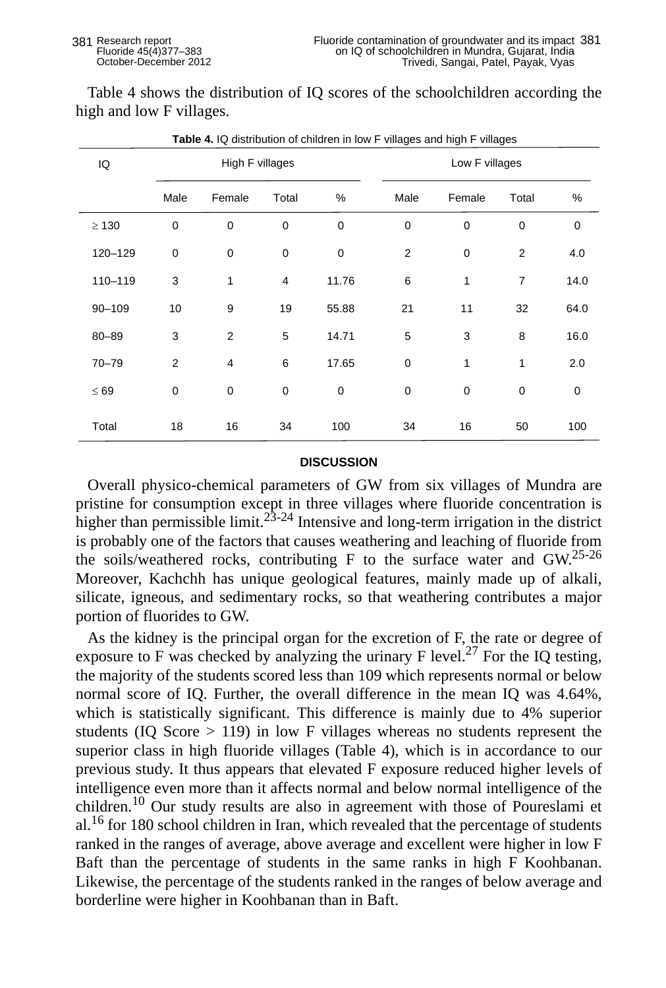Table 4 shows the distribution of IQ scores of the schoolchildren according the high and low F villages.

| IQ         | High F villages |                |                |       | Low F villages |        |                |      |
|------------|-----------------|----------------|----------------|-------|----------------|--------|----------------|------|
|            | Male            | Female         | Total          | %     | Male           | Female | Total          | $\%$ |
| $\geq 130$ | $\mathbf 0$     | 0              | 0              | 0     | $\mathbf 0$    | 0      | 0              | 0    |
| 120-129    | $\pmb{0}$       | $\pmb{0}$      | 0              | 0     | $\overline{2}$ | 0      | 2              | 4.0  |
| 110-119    | 3               | 1              | $\overline{4}$ | 11.76 | 6              | 1      | $\overline{7}$ | 14.0 |
| $90 - 109$ | 10              | 9              | 19             | 55.88 | 21             | 11     | 32             | 64.0 |
| $80 - 89$  | 3               | $\overline{2}$ | 5              | 14.71 | 5              | 3      | 8              | 16.0 |
| $70 - 79$  | 2               | $\overline{4}$ | 6              | 17.65 | $\mathbf 0$    | 1      | 1              | 2.0  |
| $\leq 69$  | 0               | 0              | 0              | 0     | $\mathbf 0$    | 0      | 0              | 0    |
| Total      | 18              | 16             | 34             | 100   | 34             | 16     | 50             | 100  |

**Table 4.** IQ distribution of children in low F villages and high F villages

# **DISCUSSION**

Overall physico-chemical parameters of GW from six villages of Mundra are pristine for consumption except in three villages where fluoride concentration is higher than permissible limit.<sup>23-24</sup> Intensive and long-term irrigation in the district is probably one of the factors that causes weathering and leaching of fluoride from the soils/weathered rocks, contributing F to the surface water and GW.25-26 Moreover, Kachchh has unique geological features, mainly made up of alkali, silicate, igneous, and sedimentary rocks, so that weathering contributes a major portion of fluorides to GW.

As the kidney is the principal organ for the excretion of F, the rate or degree of exposure to F was checked by analyzing the urinary F level.<sup>27</sup> For the IQ testing, the majority of the students scored less than 109 which represents normal or below normal score of IQ. Further, the overall difference in the mean IQ was 4.64%, which is statistically significant. This difference is mainly due to 4% superior students (IQ Score > 119) in low F villages whereas no students represent the superior class in high fluoride villages (Table 4), which is in accordance to our previous study. It thus appears that elevated F exposure reduced higher levels of intelligence even more than it affects normal and below normal intelligence of the children.10 Our study results are also in agreement with those of Poureslami et al.<sup>16</sup> for 180 school children in Iran, which revealed that the percentage of students ranked in the ranges of average, above average and excellent were higher in low F Baft than the percentage of students in the same ranks in high F Koohbanan. Likewise, the percentage of the students ranked in the ranges of below average and borderline were higher in Koohbanan than in Baft.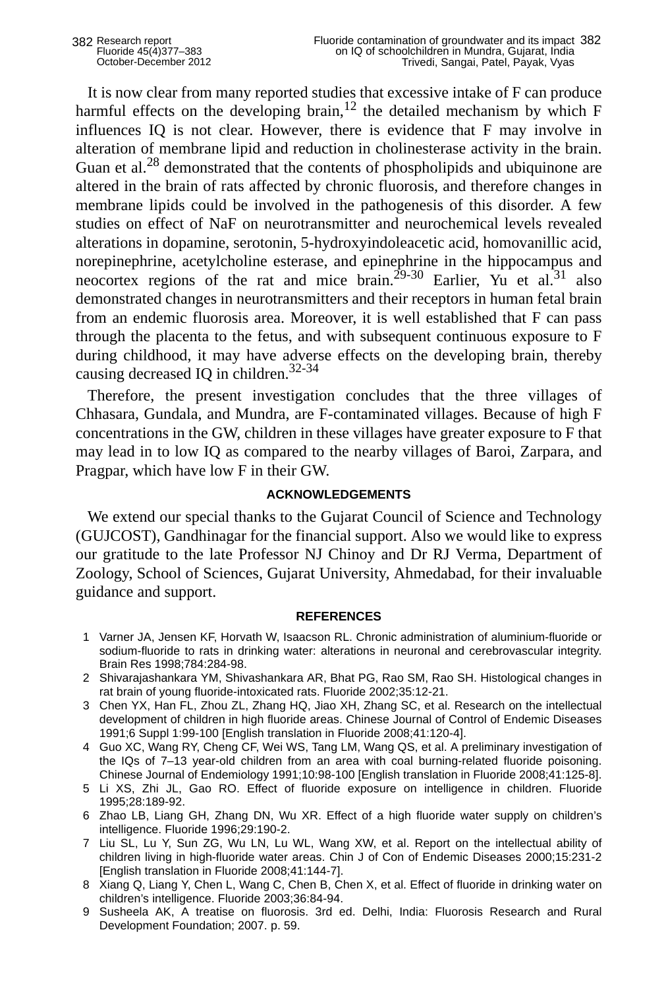It is now clear from many reported studies that excessive intake of F can produce harmful effects on the developing brain,<sup>12</sup> the detailed mechanism by which F influences IQ is not clear. However, there is evidence that F may involve in alteration of membrane lipid and reduction in cholinesterase activity in the brain. Guan et al.<sup>28</sup> demonstrated that the contents of phospholipids and ubiquinone are altered in the brain of rats affected by chronic fluorosis, and therefore changes in membrane lipids could be involved in the pathogenesis of this disorder. A few studies on effect of NaF on neurotransmitter and neurochemical levels revealed alterations in dopamine, serotonin, 5-hydroxyindoleacetic acid, homovanillic acid, norepinephrine, acetylcholine esterase, and epinephrine in the hippocampus and neocortex regions of the rat and mice brain.<sup>29-30</sup> Earlier, Yu et al.<sup>31</sup> also demonstrated changes in neurotransmitters and their receptors in human fetal brain from an endemic fluorosis area. Moreover, it is well established that F can pass through the placenta to the fetus, and with subsequent continuous exposure to F during childhood, it may have adverse effects on the developing brain, thereby causing decreased IQ in children. $32-34$ 

Therefore, the present investigation concludes that the three villages of Chhasara, Gundala, and Mundra, are F-contaminated villages. Because of high F concentrations in the GW, children in these villages have greater exposure to F that may lead in to low IQ as compared to the nearby villages of Baroi, Zarpara, and Pragpar, which have low F in their GW.

# **ACKNOWLEDGEMENTS**

We extend our special thanks to the Gujarat Council of Science and Technology (GUJCOST), Gandhinagar for the financial support. Also we would like to express our gratitude to the late Professor NJ Chinoy and Dr RJ Verma, Department of Zoology, School of Sciences, Gujarat University, Ahmedabad, for their invaluable guidance and support.

### **REFERENCES**

- 1 Varner JA, Jensen KF, Horvath W, Isaacson RL. Chronic administration of aluminium-fluoride or sodium-fluoride to rats in drinking water: alterations in neuronal and cerebrovascular integrity. Brain Res 1998;784:284-98.
- 2 Shivarajashankara YM, Shivashankara AR, Bhat PG, Rao SM, Rao SH. Histological changes in rat brain of young fluoride-intoxicated rats. Fluoride 2002;35:12-21.
- 3 Chen YX, Han FL, Zhou ZL, Zhang HQ, Jiao XH, Zhang SC, et al. Research on the intellectual development of children in high fluoride areas. Chinese Journal of Control of Endemic Diseases 1991;6 Suppl 1:99-100 [English translation in Fluoride 2008;41:120-4].
- 4 Guo XC, Wang RY, Cheng CF, Wei WS, Tang LM, Wang QS, et al. A preliminary investigation of the IQs of 7–13 year-old children from an area with coal burning-related fluoride poisoning. Chinese Journal of Endemiology 1991;10:98-100 [English translation in Fluoride 2008;41:125-8].
- 5 Li XS, Zhi JL, Gao RO. Effect of fluoride exposure on intelligence in children. Fluoride 1995;28:189-92.
- 6 Zhao LB, Liang GH, Zhang DN, Wu XR. Effect of a high fluoride water supply on children's intelligence. Fluoride 1996;29:190-2.
- 7 Liu SL, Lu Y, Sun ZG, Wu LN, Lu WL, Wang XW, et al. Report on the intellectual ability of children living in high-fluoride water areas. Chin J of Con of Endemic Diseases 2000;15:231-2 [English translation in Fluoride 2008;41:144-7].
- 8 Xiang Q, Liang Y, Chen L, Wang C, Chen B, Chen X, et al. Effect of fluoride in drinking water on children's intelligence. Fluoride 2003;36:84-94.
- 9 Susheela AK, A treatise on fluorosis. 3rd ed. Delhi, India: Fluorosis Research and Rural Development Foundation; 2007. p. 59.